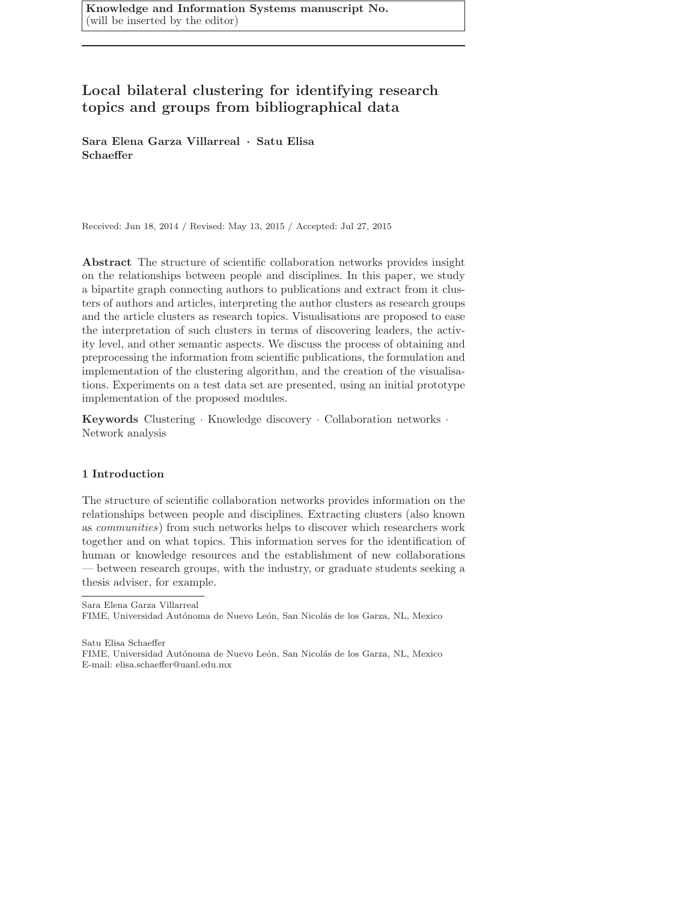Knowledge and Information Systems manuscript No. (will be inserted by the editor)

# Local bilateral clustering for identifying research topics and groups from bibliographical data

Sara Elena Garza Villarreal · Satu Elisa Schaeffer

Received: Jun 18, 2014 / Revised: May 13, 2015 / Accepted: Jul 27, 2015

Abstract The structure of scientific collaboration networks provides insight on the relationships between people and disciplines. In this paper, we study a bipartite graph connecting authors to publications and extract from it clusters of authors and articles, interpreting the author clusters as research groups and the article clusters as research topics. Visualisations are proposed to ease the interpretation of such clusters in terms of discovering leaders, the activity level, and other semantic aspects. We discuss the process of obtaining and preprocessing the information from scientific publications, the formulation and implementation of the clustering algorithm, and the creation of the visualisations. Experiments on a test data set are presented, using an initial prototype implementation of the proposed modules.

Keywords Clustering · Knowledge discovery · Collaboration networks · Network analysis

# 1 Introduction

The structure of scientific collaboration networks provides information on the relationships between people and disciplines. Extracting clusters (also known as communities) from such networks helps to discover which researchers work together and on what topics. This information serves for the identification of human or knowledge resources and the establishment of new collaborations — between research groups, with the industry, or graduate students seeking a thesis adviser, for example.

Sara Elena Garza Villarreal FIME, Universidad Autónoma de Nuevo León, San Nicolás de los Garza, NL, Mexico

Satu Elisa Schaeffer FIME, Universidad Autónoma de Nuevo León, San Nicolás de los Garza, NL, Mexico E-mail: elisa.schaeffer@uanl.edu.mx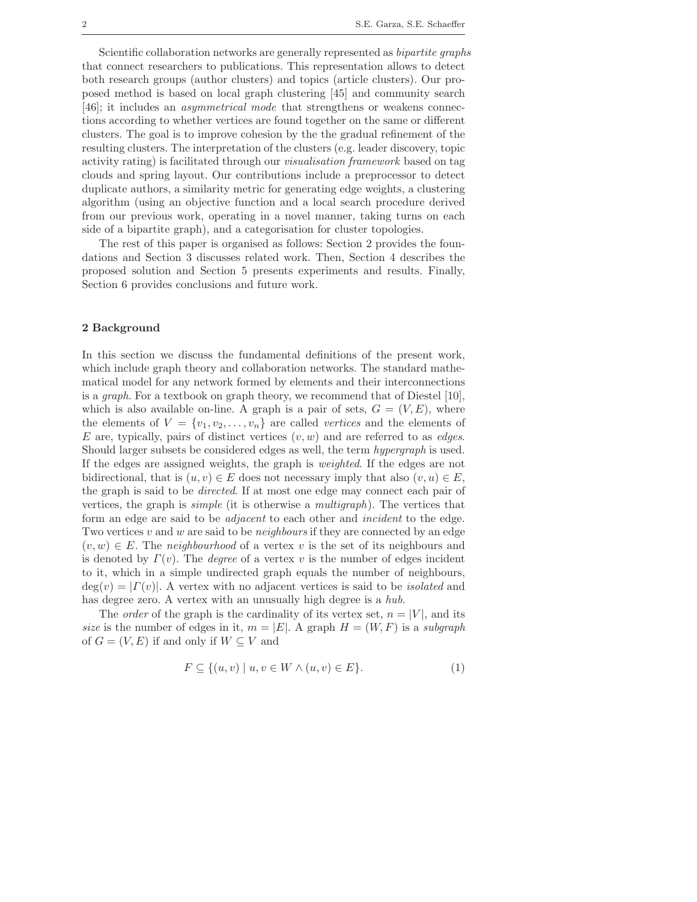Scientific collaboration networks are generally represented as bipartite graphs that connect researchers to publications. This representation allows to detect both research groups (author clusters) and topics (article clusters). Our proposed method is based on local graph clustering [45] and community search [46]; it includes an asymmetrical mode that strengthens or weakens connections according to whether vertices are found together on the same or different clusters. The goal is to improve cohesion by the the gradual refinement of the resulting clusters. The interpretation of the clusters (e.g. leader discovery, topic activity rating) is facilitated through our visualisation framework based on tag clouds and spring layout. Our contributions include a preprocessor to detect duplicate authors, a similarity metric for generating edge weights, a clustering algorithm (using an objective function and a local search procedure derived from our previous work, operating in a novel manner, taking turns on each side of a bipartite graph), and a categorisation for cluster topologies.

The rest of this paper is organised as follows: Section 2 provides the foundations and Section 3 discusses related work. Then, Section 4 describes the proposed solution and Section 5 presents experiments and results. Finally, Section 6 provides conclusions and future work.

# 2 Background

In this section we discuss the fundamental definitions of the present work, which include graph theory and collaboration networks. The standard mathematical model for any network formed by elements and their interconnections is a graph. For a textbook on graph theory, we recommend that of Diestel [10], which is also available on-line. A graph is a pair of sets,  $G = (V, E)$ , where the elements of  $V = \{v_1, v_2, \ldots, v_n\}$  are called vertices and the elements of E are, typically, pairs of distinct vertices  $(v, w)$  and are referred to as *edges*. Should larger subsets be considered edges as well, the term hypergraph is used. If the edges are assigned weights, the graph is weighted. If the edges are not bidirectional, that is  $(u, v) \in E$  does not necessary imply that also  $(v, u) \in E$ . the graph is said to be directed. If at most one edge may connect each pair of vertices, the graph is simple (it is otherwise a multigraph). The vertices that form an edge are said to be adjacent to each other and incident to the edge. Two vertices v and w are said to be *neighbours* if they are connected by an edge  $(v, w) \in E$ . The neighbourhood of a vertex v is the set of its neighbours and is denoted by  $\Gamma(v)$ . The *degree* of a vertex v is the number of edges incident to it, which in a simple undirected graph equals the number of neighbours,  $deg(v) = |\Gamma(v)|$ . A vertex with no adjacent vertices is said to be *isolated* and has degree zero. A vertex with an unusually high degree is a hub.

The *order* of the graph is the cardinality of its vertex set,  $n = |V|$ , and its size is the number of edges in it,  $m = |E|$ . A graph  $H = (W, F)$  is a subgraph of  $G = (V, E)$  if and only if  $W \subseteq V$  and

$$
F \subseteq \{(u, v) \mid u, v \in W \land (u, v) \in E\}.
$$
\n
$$
(1)
$$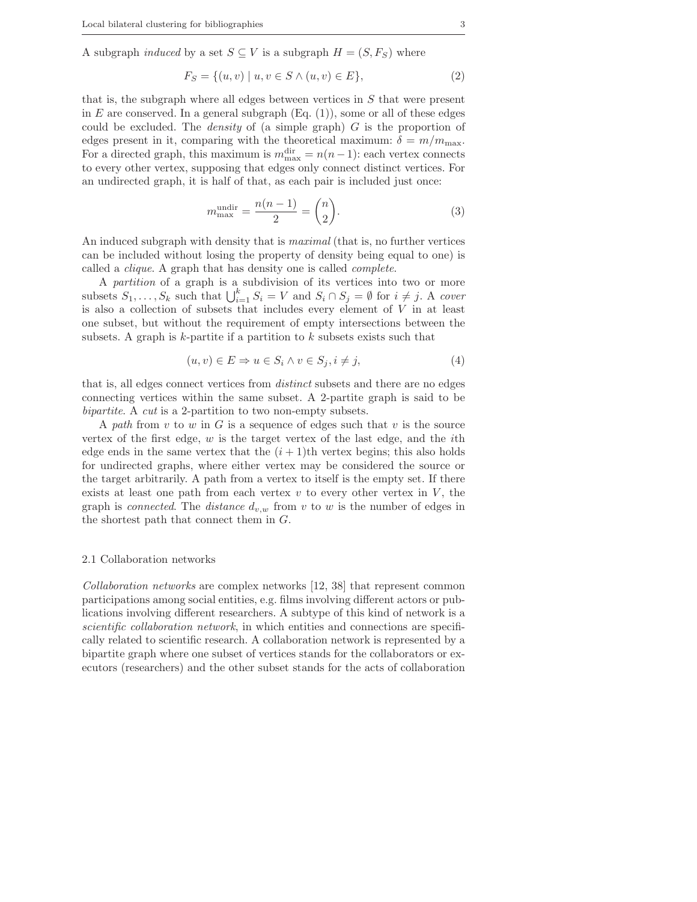A subgraph *induced* by a set  $S \subseteq V$  is a subgraph  $H = (S, F_S)$  where

$$
F_S = \{(u, v) \mid u, v \in S \land (u, v) \in E\},\tag{2}
$$

that is, the subgraph where all edges between vertices in  $S$  that were present in  $E$  are conserved. In a general subgraph (Eq.  $(1)$ ), some or all of these edges could be excluded. The *density* of (a simple graph)  $G$  is the proportion of edges present in it, comparing with the theoretical maximum:  $\delta = m/m_{\text{max}}$ . For a directed graph, this maximum is  $m_{\text{max}}^{\text{dir}} = n(n-1)$ : each vertex connects to every other vertex, supposing that edges only connect distinct vertices. For an undirected graph, it is half of that, as each pair is included just once:

$$
m_{\text{max}}^{\text{undir}} = \frac{n(n-1)}{2} = \binom{n}{2}.
$$
\n(3)

An induced subgraph with density that is maximal (that is, no further vertices can be included without losing the property of density being equal to one) is called a clique. A graph that has density one is called complete.

A partition of a graph is a subdivision of its vertices into two or more subsets  $S_1, \ldots, S_k$  such that  $\bigcup_{i=1}^k S_i = V$  and  $S_i \cap S_j = \emptyset$  for  $i \neq j$ . A cover is also a collection of subsets that includes every element of  $V$  in at least one subset, but without the requirement of empty intersections between the subsets. A graph is  $k$ -partite if a partition to  $k$  subsets exists such that

$$
(u, v) \in E \Rightarrow u \in S_i \land v \in S_j, i \neq j,
$$
\n
$$
(4)
$$

that is, all edges connect vertices from distinct subsets and there are no edges connecting vertices within the same subset. A 2-partite graph is said to be bipartite. A cut is a 2-partition to two non-empty subsets.

A path from  $v$  to  $w$  in  $G$  is a sequence of edges such that  $v$  is the source vertex of the first edge,  $w$  is the target vertex of the last edge, and the *i*th edge ends in the same vertex that the  $(i + 1)$ th vertex begins; this also holds for undirected graphs, where either vertex may be considered the source or the target arbitrarily. A path from a vertex to itself is the empty set. If there exists at least one path from each vertex  $v$  to every other vertex in  $V$ , the graph is *connected*. The *distance*  $d_{v,w}$  from v to w is the number of edges in the shortest path that connect them in G.

## 2.1 Collaboration networks

Collaboration networks are complex networks [12, 38] that represent common participations among social entities, e.g. films involving different actors or publications involving different researchers. A subtype of this kind of network is a scientific collaboration network, in which entities and connections are specifically related to scientific research. A collaboration network is represented by a bipartite graph where one subset of vertices stands for the collaborators or executors (researchers) and the other subset stands for the acts of collaboration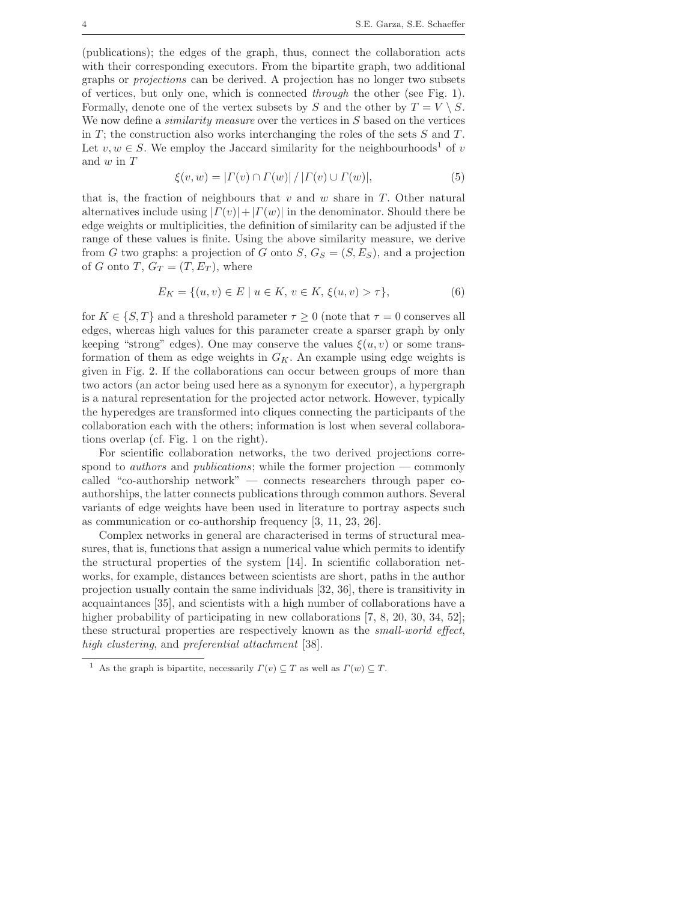(publications); the edges of the graph, thus, connect the collaboration acts with their corresponding executors. From the bipartite graph, two additional graphs or projections can be derived. A projection has no longer two subsets of vertices, but only one, which is connected through the other (see Fig. 1). Formally, denote one of the vertex subsets by S and the other by  $T = V \setminus S$ . We now define a *similarity measure* over the vertices in S based on the vertices in T; the construction also works interchanging the roles of the sets  $S$  and  $T$ . Let  $v, w \in S$ . We employ the Jaccard similarity for the neighbourhoods<sup>1</sup> of v and  $w$  in  $T$ 

$$
\xi(v, w) = | \Gamma(v) \cap \Gamma(w) | / | \Gamma(v) \cup \Gamma(w) |, \tag{5}
$$

that is, the fraction of neighbours that  $v$  and  $w$  share in  $T$ . Other natural alternatives include using  $|\Gamma(v)|+|\Gamma(w)|$  in the denominator. Should there be edge weights or multiplicities, the definition of similarity can be adjusted if the range of these values is finite. Using the above similarity measure, we derive from G two graphs: a projection of G onto  $S, G_S = (S, E_S)$ , and a projection of G onto T,  $G_T = (T, E_T)$ , where

$$
E_K = \{(u, v) \in E \mid u \in K, v \in K, \xi(u, v) > \tau\},\tag{6}
$$

for  $K \in \{S, T\}$  and a threshold parameter  $\tau \geq 0$  (note that  $\tau = 0$  conserves all edges, whereas high values for this parameter create a sparser graph by only keeping "strong" edges). One may conserve the values  $\xi(u, v)$  or some transformation of them as edge weights in  $G_K$ . An example using edge weights is given in Fig. 2. If the collaborations can occur between groups of more than two actors (an actor being used here as a synonym for executor), a hypergraph is a natural representation for the projected actor network. However, typically the hyperedges are transformed into cliques connecting the participants of the collaboration each with the others; information is lost when several collaborations overlap (cf. Fig. 1 on the right).

For scientific collaboration networks, the two derived projections correspond to *authors* and *publications*; while the former projection — commonly called "co-authorship network" — connects researchers through paper coauthorships, the latter connects publications through common authors. Several variants of edge weights have been used in literature to portray aspects such as communication or co-authorship frequency [3, 11, 23, 26].

Complex networks in general are characterised in terms of structural measures, that is, functions that assign a numerical value which permits to identify the structural properties of the system [14]. In scientific collaboration networks, for example, distances between scientists are short, paths in the author projection usually contain the same individuals [32, 36], there is transitivity in acquaintances [35], and scientists with a high number of collaborations have a higher probability of participating in new collaborations [7, 8, 20, 30, 34, 52]; these structural properties are respectively known as the small-world effect, high clustering, and preferential attachment [38].

<sup>&</sup>lt;sup>1</sup> As the graph is bipartite, necessarily  $\Gamma(v) \subseteq T$  as well as  $\Gamma(w) \subseteq T$ .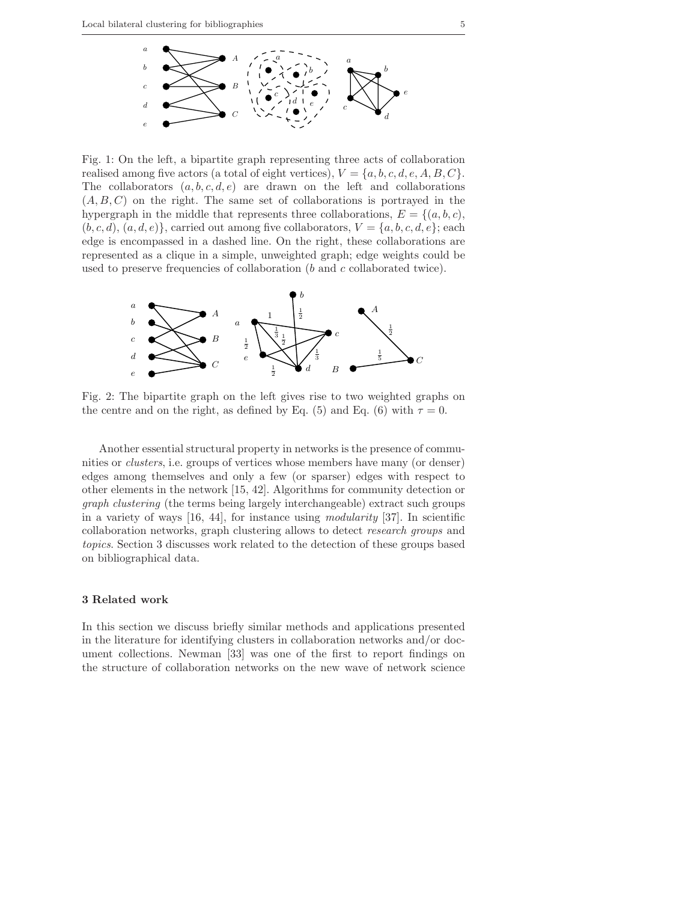

Fig. 1: On the left, a bipartite graph representing three acts of collaboration realised among five actors (a total of eight vertices),  $V = \{a, b, c, d, e, A, B, C\}$ . The collaborators  $(a, b, c, d, e)$  are drawn on the left and collaborations  $(A, B, C)$  on the right. The same set of collaborations is portrayed in the hypergraph in the middle that represents three collaborations,  $E = \{(a, b, c),\}$  $(b, c, d), (a, d, e)$ , carried out among five collaborators,  $V = \{a, b, c, d, e\}$ ; each edge is encompassed in a dashed line. On the right, these collaborations are represented as a clique in a simple, unweighted graph; edge weights could be used to preserve frequencies of collaboration (b and c collaborated twice).



Fig. 2: The bipartite graph on the left gives rise to two weighted graphs on the centre and on the right, as defined by Eq. (5) and Eq. (6) with  $\tau = 0$ .

Another essential structural property in networks is the presence of communities or clusters, i.e. groups of vertices whose members have many (or denser) edges among themselves and only a few (or sparser) edges with respect to other elements in the network [15, 42]. Algorithms for community detection or graph clustering (the terms being largely interchangeable) extract such groups in a variety of ways  $[16, 44]$ , for instance using *modularity*  $[37]$ . In scientific collaboration networks, graph clustering allows to detect research groups and topics. Section 3 discusses work related to the detection of these groups based on bibliographical data.

# 3 Related work

In this section we discuss briefly similar methods and applications presented in the literature for identifying clusters in collaboration networks and/or document collections. Newman [33] was one of the first to report findings on the structure of collaboration networks on the new wave of network science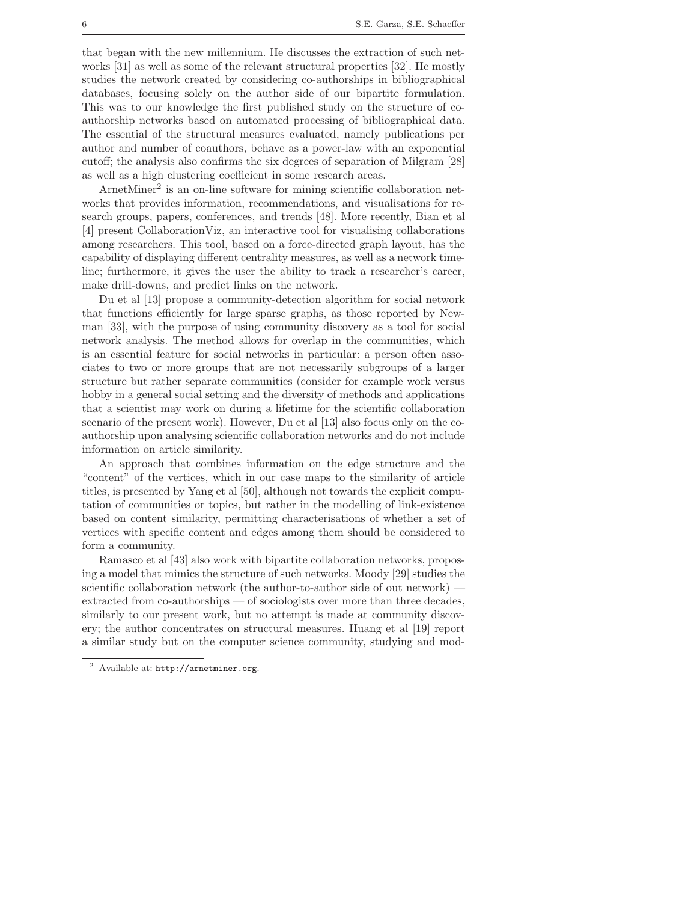that began with the new millennium. He discusses the extraction of such networks [31] as well as some of the relevant structural properties [32]. He mostly studies the network created by considering co-authorships in bibliographical databases, focusing solely on the author side of our bipartite formulation. This was to our knowledge the first published study on the structure of coauthorship networks based on automated processing of bibliographical data. The essential of the structural measures evaluated, namely publications per author and number of coauthors, behave as a power-law with an exponential cutoff; the analysis also confirms the six degrees of separation of Milgram [28] as well as a high clustering coefficient in some research areas.

ArnetMiner<sup>2</sup> is an on-line software for mining scientific collaboration networks that provides information, recommendations, and visualisations for research groups, papers, conferences, and trends [48]. More recently, Bian et al [4] present CollaborationViz, an interactive tool for visualising collaborations among researchers. This tool, based on a force-directed graph layout, has the capability of displaying different centrality measures, as well as a network timeline; furthermore, it gives the user the ability to track a researcher's career, make drill-downs, and predict links on the network.

Du et al [13] propose a community-detection algorithm for social network that functions efficiently for large sparse graphs, as those reported by Newman [33], with the purpose of using community discovery as a tool for social network analysis. The method allows for overlap in the communities, which is an essential feature for social networks in particular: a person often associates to two or more groups that are not necessarily subgroups of a larger structure but rather separate communities (consider for example work versus hobby in a general social setting and the diversity of methods and applications that a scientist may work on during a lifetime for the scientific collaboration scenario of the present work). However, Du et al [13] also focus only on the coauthorship upon analysing scientific collaboration networks and do not include information on article similarity.

An approach that combines information on the edge structure and the "content" of the vertices, which in our case maps to the similarity of article titles, is presented by Yang et al [50], although not towards the explicit computation of communities or topics, but rather in the modelling of link-existence based on content similarity, permitting characterisations of whether a set of vertices with specific content and edges among them should be considered to form a community.

Ramasco et al [43] also work with bipartite collaboration networks, proposing a model that mimics the structure of such networks. Moody [29] studies the scientific collaboration network (the author-to-author side of out network) extracted from co-authorships — of sociologists over more than three decades, similarly to our present work, but no attempt is made at community discovery; the author concentrates on structural measures. Huang et al [19] report a similar study but on the computer science community, studying and mod-

<sup>2</sup> Available at: http://arnetminer.org.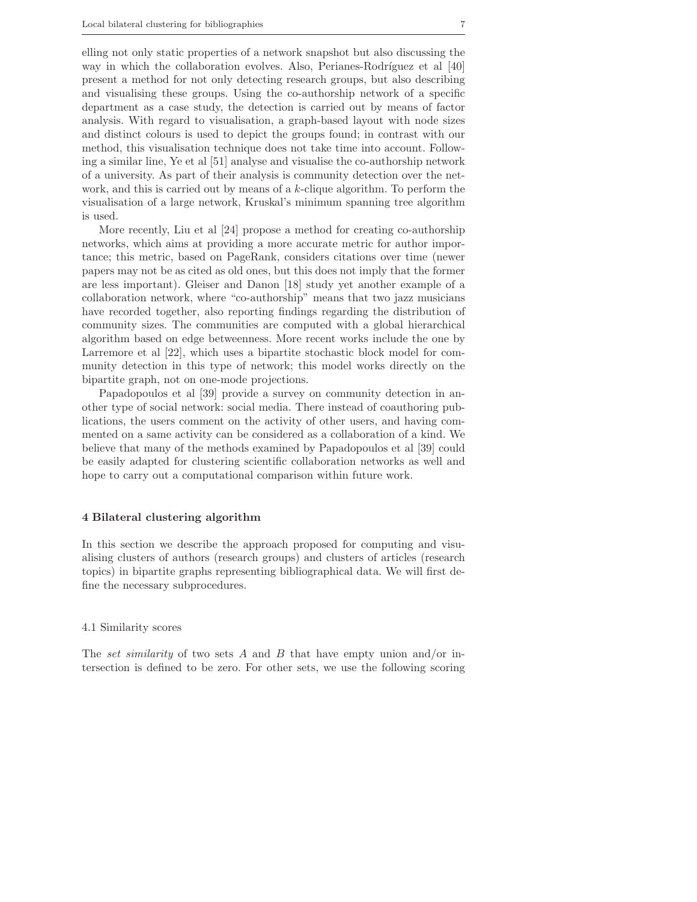elling not only static properties of a network snapshot but also discussing the way in which the collaboration evolves. Also, Perianes-Rodríguez et al  $[40]$ present a method for not only detecting research groups, but also describing and visualising these groups. Using the co-authorship network of a specific department as a case study, the detection is carried out by means of factor analysis. With regard to visualisation, a graph-based layout with node sizes and distinct colours is used to depict the groups found; in contrast with our method, this visualisation technique does not take time into account. Following a similar line, Ye et al [51] analyse and visualise the co-authorship network of a university. As part of their analysis is community detection over the network, and this is carried out by means of a  $k$ -clique algorithm. To perform the visualisation of a large network, Kruskal's minimum spanning tree algorithm is used.

More recently, Liu et al [24] propose a method for creating co-authorship networks, which aims at providing a more accurate metric for author importance; this metric, based on PageRank, considers citations over time (newer papers may not be as cited as old ones, but this does not imply that the former are less important). Gleiser and Danon [18] study yet another example of a collaboration network, where "co-authorship" means that two jazz musicians have recorded together, also reporting findings regarding the distribution of community sizes. The communities are computed with a global hierarchical algorithm based on edge betweenness. More recent works include the one by Larremore et al [22], which uses a bipartite stochastic block model for community detection in this type of network; this model works directly on the bipartite graph, not on one-mode projections.

Papadopoulos et al [39] provide a survey on community detection in another type of social network: social media. There instead of coauthoring publications, the users comment on the activity of other users, and having commented on a same activity can be considered as a collaboration of a kind. We believe that many of the methods examined by Papadopoulos et al [39] could be easily adapted for clustering scientific collaboration networks as well and hope to carry out a computational comparison within future work.

## 4 Bilateral clustering algorithm

In this section we describe the approach proposed for computing and visualising clusters of authors (research groups) and clusters of articles (research topics) in bipartite graphs representing bibliographical data. We will first define the necessary subprocedures.

## 4.1 Similarity scores

The set similarity of two sets A and B that have empty union and/or intersection is defined to be zero. For other sets, we use the following scoring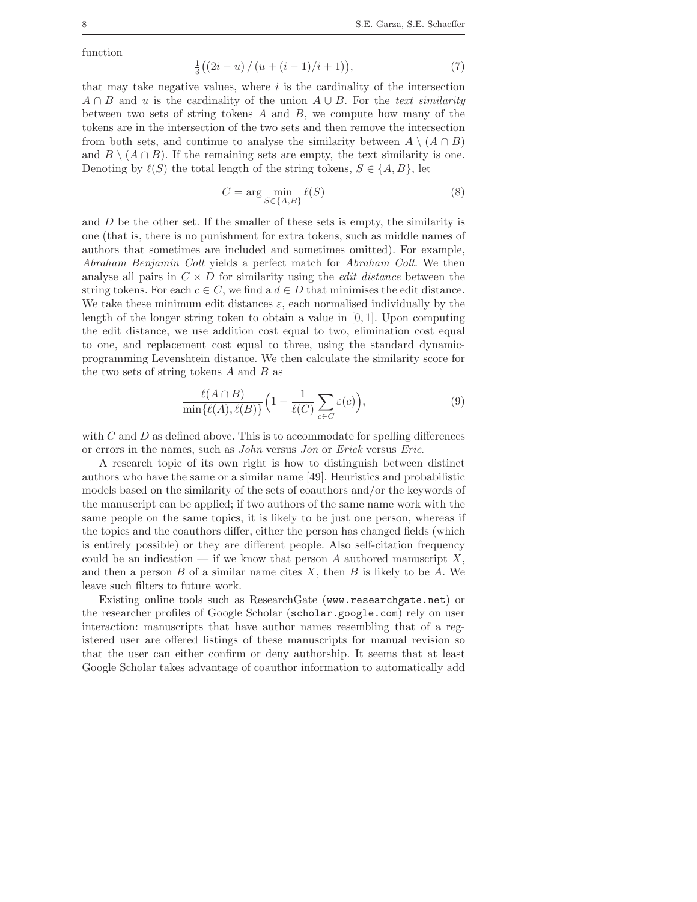function

$$
\frac{1}{3}((2i-u)/(u+(i-1)/i+1)),
$$
\n(7)

that may take negative values, where  $i$  is the cardinality of the intersection  $A \cap B$  and u is the cardinality of the union  $A \cup B$ . For the text similarity between two sets of string tokens  $A$  and  $B$ , we compute how many of the tokens are in the intersection of the two sets and then remove the intersection from both sets, and continue to analyse the similarity between  $A \setminus (A \cap B)$ and  $B \setminus (A \cap B)$ . If the remaining sets are empty, the text similarity is one. Denoting by  $\ell(S)$  the total length of the string tokens,  $S \in \{A, B\}$ , let

$$
C = \arg\min_{S \in \{A, B\}} \ell(S) \tag{8}
$$

and  $D$  be the other set. If the smaller of these sets is empty, the similarity is one (that is, there is no punishment for extra tokens, such as middle names of authors that sometimes are included and sometimes omitted). For example, Abraham Benjamin Colt yields a perfect match for Abraham Colt. We then analyse all pairs in  $C \times D$  for similarity using the *edit distance* between the string tokens. For each  $c \in C$ , we find a  $d \in D$  that minimises the edit distance. We take these minimum edit distances  $\varepsilon$ , each normalised individually by the length of the longer string token to obtain a value in  $[0, 1]$ . Upon computing the edit distance, we use addition cost equal to two, elimination cost equal to one, and replacement cost equal to three, using the standard dynamicprogramming Levenshtein distance. We then calculate the similarity score for the two sets of string tokens  $A$  and  $B$  as

$$
\frac{\ell(A \cap B)}{\min\{\ell(A), \ell(B)\}} \Big(1 - \frac{1}{\ell(C)} \sum_{c \in C} \varepsilon(c)\Big),\tag{9}
$$

with  $C$  and  $D$  as defined above. This is to accommodate for spelling differences or errors in the names, such as John versus Jon or Erick versus Eric.

A research topic of its own right is how to distinguish between distinct authors who have the same or a similar name [49]. Heuristics and probabilistic models based on the similarity of the sets of coauthors and/or the keywords of the manuscript can be applied; if two authors of the same name work with the same people on the same topics, it is likely to be just one person, whereas if the topics and the coauthors differ, either the person has changed fields (which is entirely possible) or they are different people. Also self-citation frequency could be an indication — if we know that person A authored manuscript  $X$ , and then a person  $B$  of a similar name cites  $X$ , then  $B$  is likely to be  $A$ . We leave such filters to future work.

Existing online tools such as ResearchGate (www.researchgate.net) or the researcher profiles of Google Scholar (scholar.google.com) rely on user interaction: manuscripts that have author names resembling that of a registered user are offered listings of these manuscripts for manual revision so that the user can either confirm or deny authorship. It seems that at least Google Scholar takes advantage of coauthor information to automatically add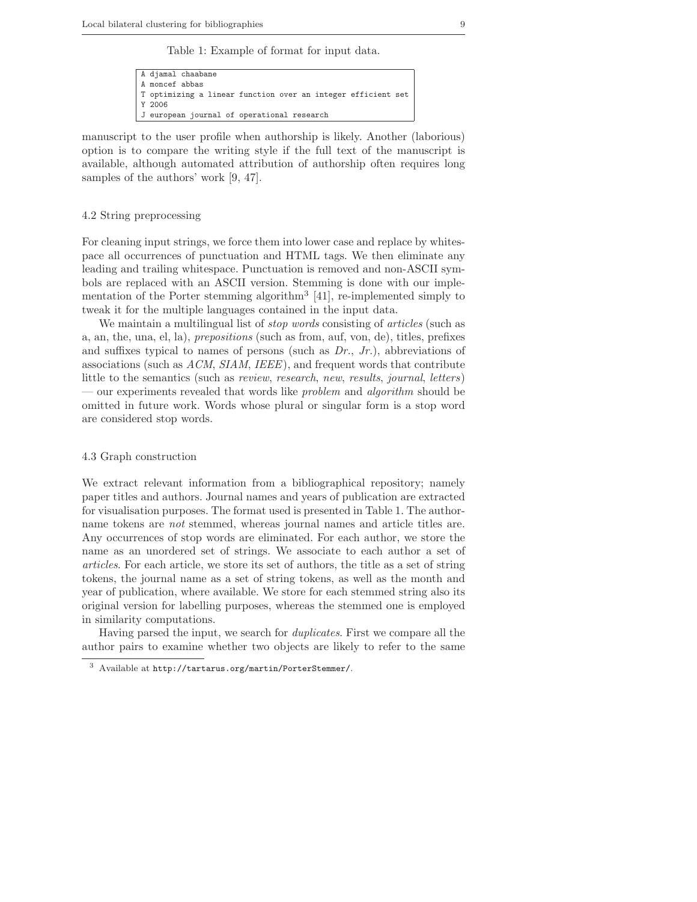Table 1: Example of format for input data.

```
A djamal chaabane
A moncef abbas
T optimizing a linear function over an integer efficient set
Y 2006
J european journal of operational research
```
manuscript to the user profile when authorship is likely. Another (laborious) option is to compare the writing style if the full text of the manuscript is available, although automated attribution of authorship often requires long samples of the authors' work [9, 47].

#### 4.2 String preprocessing

For cleaning input strings, we force them into lower case and replace by whitespace all occurrences of punctuation and HTML tags. We then eliminate any leading and trailing whitespace. Punctuation is removed and non-ASCII symbols are replaced with an ASCII version. Stemming is done with our implementation of the Porter stemming algorithm<sup>3</sup> [41], re-implemented simply to tweak it for the multiple languages contained in the input data.

We maintain a multilingual list of *stop words* consisting of *articles* (such as a, an, the, una, el, la), prepositions (such as from, auf, von, de), titles, prefixes and suffixes typical to names of persons (such as  $Dr, Jr.$ ), abbreviations of associations (such as ACM, SIAM, IEEE), and frequent words that contribute little to the semantics (such as review, research, new, results, journal, letters) — our experiments revealed that words like *problem* and *algorithm* should be omitted in future work. Words whose plural or singular form is a stop word are considered stop words.

## 4.3 Graph construction

We extract relevant information from a bibliographical repository; namely paper titles and authors. Journal names and years of publication are extracted for visualisation purposes. The format used is presented in Table 1. The authorname tokens are not stemmed, whereas journal names and article titles are. Any occurrences of stop words are eliminated. For each author, we store the name as an unordered set of strings. We associate to each author a set of articles. For each article, we store its set of authors, the title as a set of string tokens, the journal name as a set of string tokens, as well as the month and year of publication, where available. We store for each stemmed string also its original version for labelling purposes, whereas the stemmed one is employed in similarity computations.

Having parsed the input, we search for duplicates. First we compare all the author pairs to examine whether two objects are likely to refer to the same

<sup>3</sup> Available at http://tartarus.org/martin/PorterStemmer/.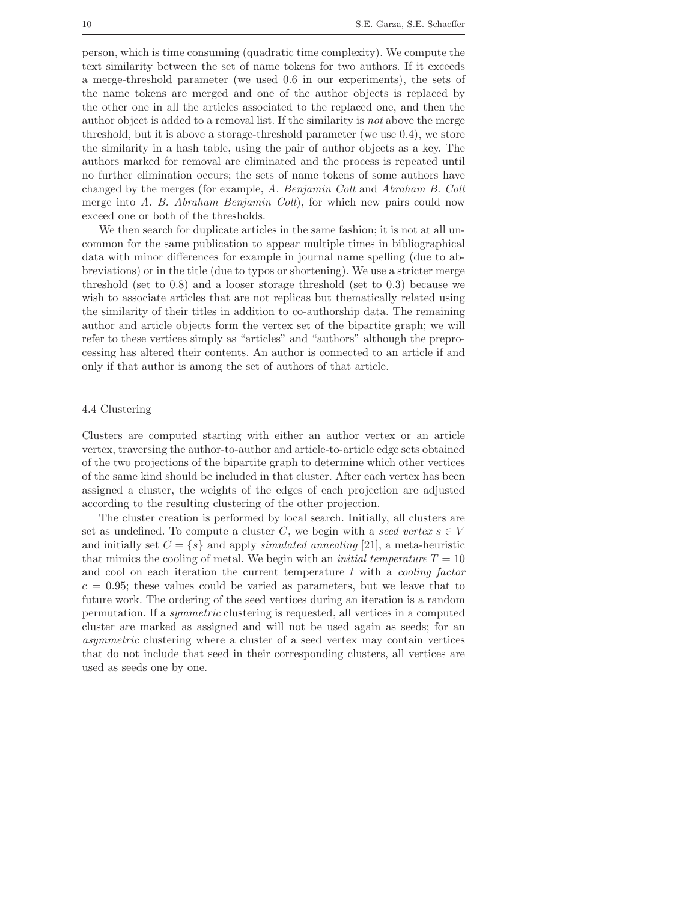person, which is time consuming (quadratic time complexity). We compute the text similarity between the set of name tokens for two authors. If it exceeds a merge-threshold parameter (we used 0.6 in our experiments), the sets of the name tokens are merged and one of the author objects is replaced by the other one in all the articles associated to the replaced one, and then the author object is added to a removal list. If the similarity is not above the merge threshold, but it is above a storage-threshold parameter (we use 0.4), we store the similarity in a hash table, using the pair of author objects as a key. The authors marked for removal are eliminated and the process is repeated until no further elimination occurs; the sets of name tokens of some authors have changed by the merges (for example, A. Benjamin Colt and Abraham B. Colt merge into A. B. Abraham Benjamin Colt), for which new pairs could now exceed one or both of the thresholds.

We then search for duplicate articles in the same fashion; it is not at all uncommon for the same publication to appear multiple times in bibliographical data with minor differences for example in journal name spelling (due to abbreviations) or in the title (due to typos or shortening). We use a stricter merge threshold (set to 0.8) and a looser storage threshold (set to 0.3) because we wish to associate articles that are not replicas but thematically related using the similarity of their titles in addition to co-authorship data. The remaining author and article objects form the vertex set of the bipartite graph; we will refer to these vertices simply as "articles" and "authors" although the preprocessing has altered their contents. An author is connected to an article if and only if that author is among the set of authors of that article.

#### 4.4 Clustering

Clusters are computed starting with either an author vertex or an article vertex, traversing the author-to-author and article-to-article edge sets obtained of the two projections of the bipartite graph to determine which other vertices of the same kind should be included in that cluster. After each vertex has been assigned a cluster, the weights of the edges of each projection are adjusted according to the resulting clustering of the other projection.

The cluster creation is performed by local search. Initially, all clusters are set as undefined. To compute a cluster C, we begin with a seed vertex  $s \in V$ and initially set  $C = \{s\}$  and apply *simulated annealing* [21], a meta-heuristic that mimics the cooling of metal. We begin with an *initial temperature*  $T = 10$ and cool on each iteration the current temperature  $t$  with a *cooling factor*  $c = 0.95$ ; these values could be varied as parameters, but we leave that to future work. The ordering of the seed vertices during an iteration is a random permutation. If a symmetric clustering is requested, all vertices in a computed cluster are marked as assigned and will not be used again as seeds; for an asymmetric clustering where a cluster of a seed vertex may contain vertices that do not include that seed in their corresponding clusters, all vertices are used as seeds one by one.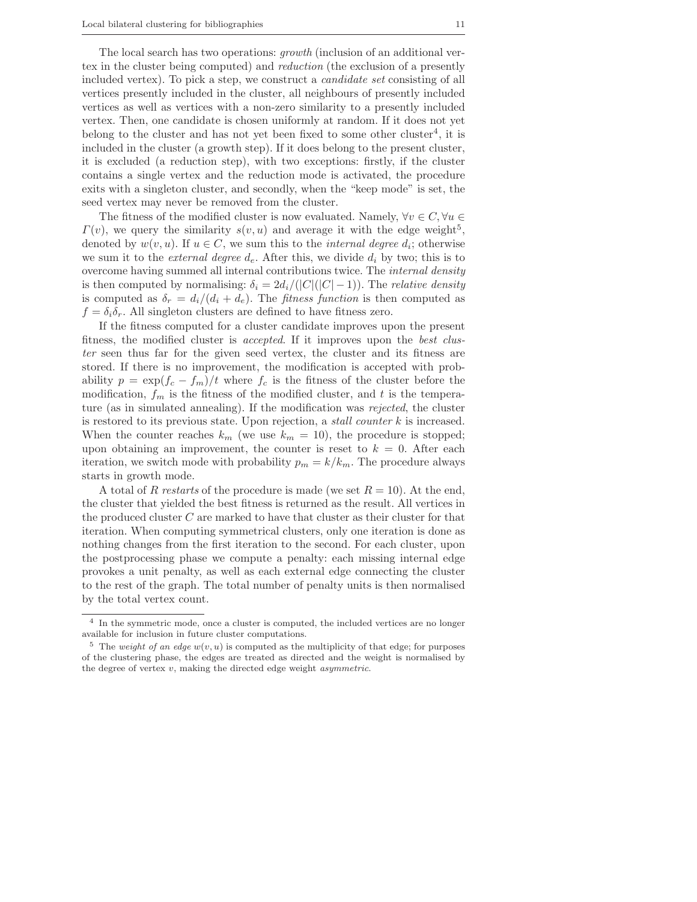The local search has two operations: growth (inclusion of an additional vertex in the cluster being computed) and reduction (the exclusion of a presently included vertex). To pick a step, we construct a candidate set consisting of all vertices presently included in the cluster, all neighbours of presently included vertices as well as vertices with a non-zero similarity to a presently included vertex. Then, one candidate is chosen uniformly at random. If it does not yet belong to the cluster and has not yet been fixed to some other cluster<sup>4</sup>, it is included in the cluster (a growth step). If it does belong to the present cluster, it is excluded (a reduction step), with two exceptions: firstly, if the cluster contains a single vertex and the reduction mode is activated, the procedure exits with a singleton cluster, and secondly, when the "keep mode" is set, the seed vertex may never be removed from the cluster.

The fitness of the modified cluster is now evaluated. Namely,  $\forall v \in C, \forall u \in$  $\Gamma(v)$ , we query the similarity  $s(v, u)$  and average it with the edge weight<sup>5</sup>, denoted by  $w(v, u)$ . If  $u \in C$ , we sum this to the *internal degree d<sub>i</sub>*; otherwise we sum it to the *external degree*  $d_e$ . After this, we divide  $d_i$  by two; this is to overcome having summed all internal contributions twice. The internal density is then computed by normalising:  $\delta_i = 2d_i/(|C|(|C|-1))$ . The *relative density* is computed as  $\delta_r = d_i/(d_i + d_e)$ . The *fitness function* is then computed as  $f = \delta_i \delta_r$ . All singleton clusters are defined to have fitness zero.

If the fitness computed for a cluster candidate improves upon the present fitness, the modified cluster is accepted. If it improves upon the best cluster seen thus far for the given seed vertex, the cluster and its fitness are stored. If there is no improvement, the modification is accepted with probability  $p = \exp(f_c - f_m)/t$  where  $f_c$  is the fitness of the cluster before the modification,  $f_m$  is the fitness of the modified cluster, and t is the temperature (as in simulated annealing). If the modification was rejected, the cluster is restored to its previous state. Upon rejection, a stall counter k is increased. When the counter reaches  $k_m$  (we use  $k_m = 10$ ), the procedure is stopped; upon obtaining an improvement, the counter is reset to  $k = 0$ . After each iteration, we switch mode with probability  $p_m = k/k_m$ . The procedure always starts in growth mode.

A total of R restarts of the procedure is made (we set  $R = 10$ ). At the end, the cluster that yielded the best fitness is returned as the result. All vertices in the produced cluster C are marked to have that cluster as their cluster for that iteration. When computing symmetrical clusters, only one iteration is done as nothing changes from the first iteration to the second. For each cluster, upon the postprocessing phase we compute a penalty: each missing internal edge provokes a unit penalty, as well as each external edge connecting the cluster to the rest of the graph. The total number of penalty units is then normalised by the total vertex count.

<sup>4</sup> In the symmetric mode, once a cluster is computed, the included vertices are no longer available for inclusion in future cluster computations.

<sup>&</sup>lt;sup>5</sup> The *weight of an edge*  $w(v, u)$  is computed as the multiplicity of that edge; for purposes of the clustering phase, the edges are treated as directed and the weight is normalised by the degree of vertex  $v$ , making the directed edge weight *asymmetric*.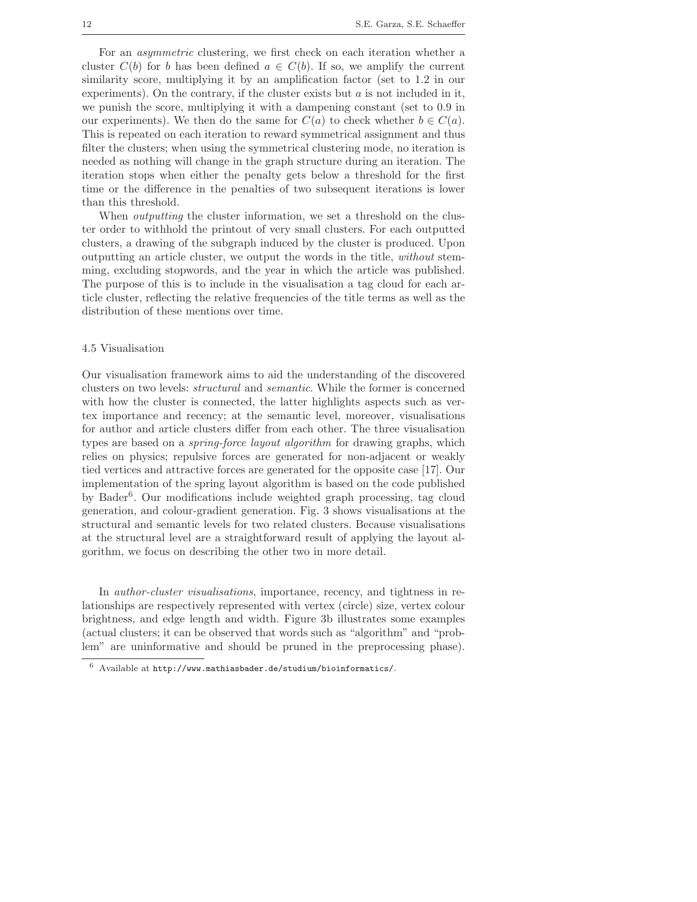For an asymmetric clustering, we first check on each iteration whether a cluster  $C(b)$  for b has been defined  $a \in C(b)$ . If so, we amplify the current similarity score, multiplying it by an amplification factor (set to 1.2 in our experiments). On the contrary, if the cluster exists but  $a$  is not included in it, we punish the score, multiplying it with a dampening constant (set to 0.9 in our experiments). We then do the same for  $C(a)$  to check whether  $b \in C(a)$ . This is repeated on each iteration to reward symmetrical assignment and thus filter the clusters; when using the symmetrical clustering mode, no iteration is needed as nothing will change in the graph structure during an iteration. The iteration stops when either the penalty gets below a threshold for the first time or the difference in the penalties of two subsequent iterations is lower than this threshold.

When *outputting* the cluster information, we set a threshold on the cluster order to withhold the printout of very small clusters. For each outputted clusters, a drawing of the subgraph induced by the cluster is produced. Upon outputting an article cluster, we output the words in the title, without stemming, excluding stopwords, and the year in which the article was published. The purpose of this is to include in the visualisation a tag cloud for each article cluster, reflecting the relative frequencies of the title terms as well as the distribution of these mentions over time.

#### 4.5 Visualisation

Our visualisation framework aims to aid the understanding of the discovered clusters on two levels: structural and semantic. While the former is concerned with how the cluster is connected, the latter highlights aspects such as vertex importance and recency; at the semantic level, moreover, visualisations for author and article clusters differ from each other. The three visualisation types are based on a spring-force layout algorithm for drawing graphs, which relies on physics; repulsive forces are generated for non-adjacent or weakly tied vertices and attractive forces are generated for the opposite case [17]. Our implementation of the spring layout algorithm is based on the code published by Bader<sup>6</sup>. Our modifications include weighted graph processing, tag cloud generation, and colour-gradient generation. Fig. 3 shows visualisations at the structural and semantic levels for two related clusters. Because visualisations at the structural level are a straightforward result of applying the layout algorithm, we focus on describing the other two in more detail.

In *author-cluster visualisations*, importance, recency, and tightness in relationships are respectively represented with vertex (circle) size, vertex colour brightness, and edge length and width. Figure 3b illustrates some examples (actual clusters; it can be observed that words such as "algorithm" and "problem" are uninformative and should be pruned in the preprocessing phase).

 $6$  Available at http://www.mathiasbader.de/studium/bioinformatics/.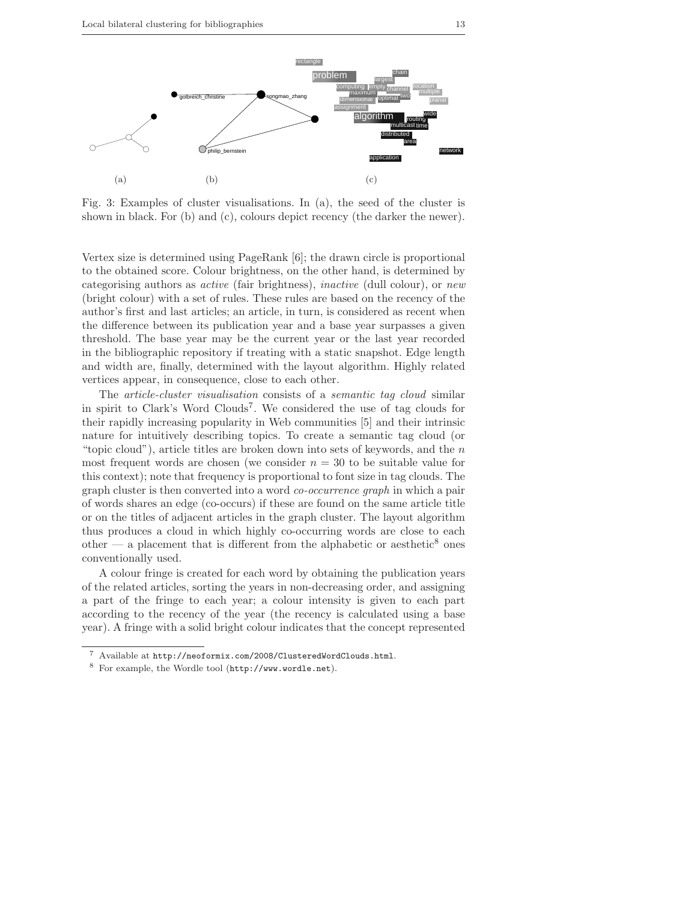

Fig. 3: Examples of cluster visualisations. In (a), the seed of the cluster is shown in black. For (b) and (c), colours depict recency (the darker the newer).

Vertex size is determined using PageRank [6]; the drawn circle is proportional to the obtained score. Colour brightness, on the other hand, is determined by categorising authors as active (fair brightness), inactive (dull colour), or new (bright colour) with a set of rules. These rules are based on the recency of the author's first and last articles; an article, in turn, is considered as recent when the difference between its publication year and a base year surpasses a given threshold. The base year may be the current year or the last year recorded in the bibliographic repository if treating with a static snapshot. Edge length and width are, finally, determined with the layout algorithm. Highly related vertices appear, in consequence, close to each other.

The article-cluster visualisation consists of a semantic tag cloud similar in spirit to Clark's Word Clouds<sup>7</sup>. We considered the use of tag clouds for their rapidly increasing popularity in Web communities [5] and their intrinsic nature for intuitively describing topics. To create a semantic tag cloud (or "topic cloud"), article titles are broken down into sets of keywords, and the  $n$ most frequent words are chosen (we consider  $n = 30$  to be suitable value for this context); note that frequency is proportional to font size in tag clouds. The graph cluster is then converted into a word co-occurrence graph in which a pair of words shares an edge (co-occurs) if these are found on the same article title or on the titles of adjacent articles in the graph cluster. The layout algorithm thus produces a cloud in which highly co-occurring words are close to each other — a placement that is different from the alphabetic or aesthetic<sup>8</sup> ones conventionally used.

A colour fringe is created for each word by obtaining the publication years of the related articles, sorting the years in non-decreasing order, and assigning a part of the fringe to each year; a colour intensity is given to each part according to the recency of the year (the recency is calculated using a base year). A fringe with a solid bright colour indicates that the concept represented

<sup>7</sup> Available at http://neoformix.com/2008/ClusteredWordClouds.html.

<sup>8</sup> For example, the Wordle tool (http://www.wordle.net).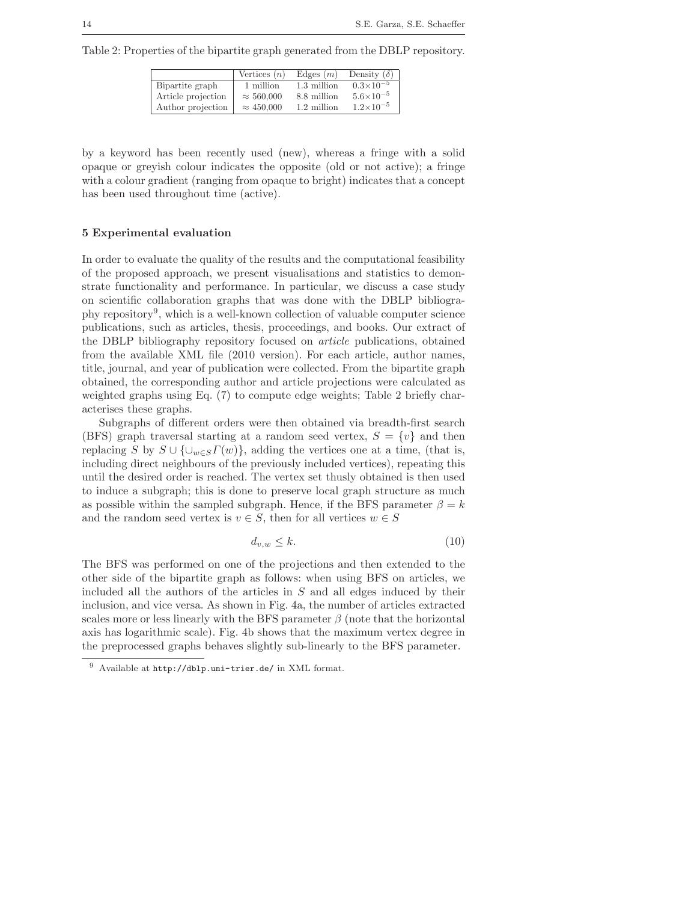Table 2: Properties of the bipartite graph generated from the DBLP repository.

|                    | Vertices $(n)$    | Edges $(m)$ | Density $(\delta)$   |
|--------------------|-------------------|-------------|----------------------|
| Bipartite graph    | 1 million         | 1.3 million | $0.3\times10^{-5}$   |
| Article projection | $\approx 560,000$ | 8.8 million | $5.6 \times 10^{-5}$ |
| Author projection  | $\approx 450,000$ | 1.2 million | $1.2 \times 10^{-5}$ |

by a keyword has been recently used (new), whereas a fringe with a solid opaque or greyish colour indicates the opposite (old or not active); a fringe with a colour gradient (ranging from opaque to bright) indicates that a concept has been used throughout time (active).

## 5 Experimental evaluation

In order to evaluate the quality of the results and the computational feasibility of the proposed approach, we present visualisations and statistics to demonstrate functionality and performance. In particular, we discuss a case study on scientific collaboration graphs that was done with the DBLP bibliography repository<sup>9</sup>, which is a well-known collection of valuable computer science publications, such as articles, thesis, proceedings, and books. Our extract of the DBLP bibliography repository focused on article publications, obtained from the available XML file (2010 version). For each article, author names, title, journal, and year of publication were collected. From the bipartite graph obtained, the corresponding author and article projections were calculated as weighted graphs using Eq. (7) to compute edge weights; Table 2 briefly characterises these graphs.

Subgraphs of different orders were then obtained via breadth-first search (BFS) graph traversal starting at a random seed vertex,  $S = \{v\}$  and then replacing S by  $S \cup \{\cup_{w \in S} \Gamma(w)\}\$ , adding the vertices one at a time, (that is, including direct neighbours of the previously included vertices), repeating this until the desired order is reached. The vertex set thusly obtained is then used to induce a subgraph; this is done to preserve local graph structure as much as possible within the sampled subgraph. Hence, if the BFS parameter  $\beta = k$ and the random seed vertex is  $v \in S$ , then for all vertices  $w \in S$ 

$$
d_{v,w} \le k. \tag{10}
$$

The BFS was performed on one of the projections and then extended to the other side of the bipartite graph as follows: when using BFS on articles, we included all the authors of the articles in S and all edges induced by their inclusion, and vice versa. As shown in Fig. 4a, the number of articles extracted scales more or less linearly with the BFS parameter  $\beta$  (note that the horizontal axis has logarithmic scale). Fig. 4b shows that the maximum vertex degree in the preprocessed graphs behaves slightly sub-linearly to the BFS parameter.

<sup>9</sup> Available at http://dblp.uni-trier.de/ in XML format.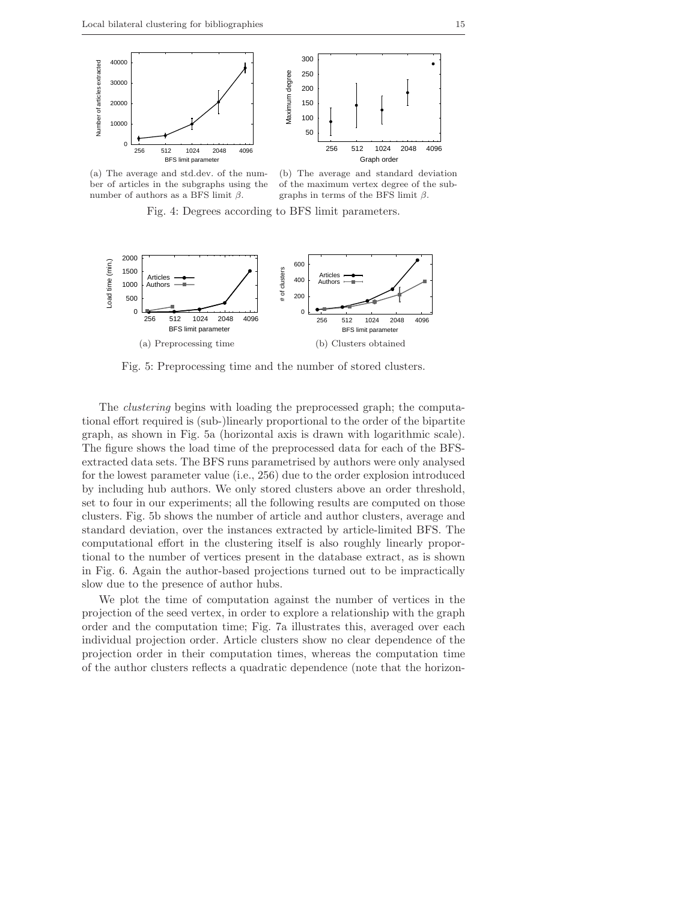

(a) The average and std.dev. of the number of articles in the subgraphs using the number of authors as a BFS limit  $β$ .

(b) The average and standard deviation of the maximum vertex degree of the subgraphs in terms of the BFS limit  $\beta$ .

Fig. 4: Degrees according to BFS limit parameters.



Fig. 5: Preprocessing time and the number of stored clusters.

The clustering begins with loading the preprocessed graph; the computational effort required is (sub-)linearly proportional to the order of the bipartite graph, as shown in Fig. 5a (horizontal axis is drawn with logarithmic scale). The figure shows the load time of the preprocessed data for each of the BFSextracted data sets. The BFS runs parametrised by authors were only analysed for the lowest parameter value (i.e., 256) due to the order explosion introduced by including hub authors. We only stored clusters above an order threshold, set to four in our experiments; all the following results are computed on those clusters. Fig. 5b shows the number of article and author clusters, average and standard deviation, over the instances extracted by article-limited BFS. The computational effort in the clustering itself is also roughly linearly proportional to the number of vertices present in the database extract, as is shown in Fig. 6. Again the author-based projections turned out to be impractically slow due to the presence of author hubs.

We plot the time of computation against the number of vertices in the projection of the seed vertex, in order to explore a relationship with the graph order and the computation time; Fig. 7a illustrates this, averaged over each individual projection order. Article clusters show no clear dependence of the projection order in their computation times, whereas the computation time of the author clusters reflects a quadratic dependence (note that the horizon-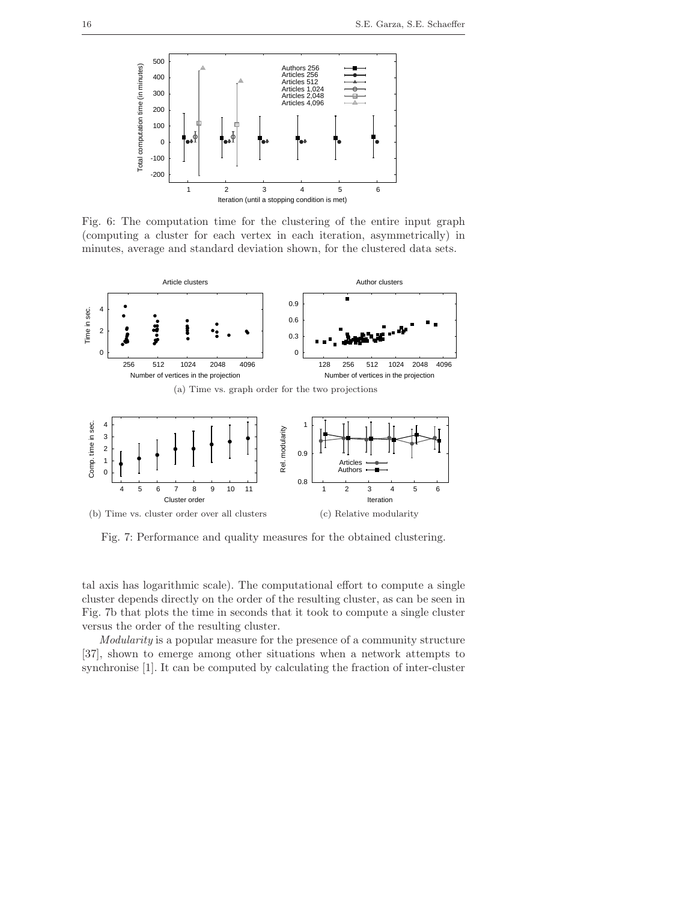

Fig. 6: The computation time for the clustering of the entire input graph (computing a cluster for each vertex in each iteration, asymmetrically) in minutes, average and standard deviation shown, for the clustered data sets.



Fig. 7: Performance and quality measures for the obtained clustering.

tal axis has logarithmic scale). The computational effort to compute a single cluster depends directly on the order of the resulting cluster, as can be seen in Fig. 7b that plots the time in seconds that it took to compute a single cluster versus the order of the resulting cluster.

Modularity is a popular measure for the presence of a community structure [37], shown to emerge among other situations when a network attempts to synchronise [1]. It can be computed by calculating the fraction of inter-cluster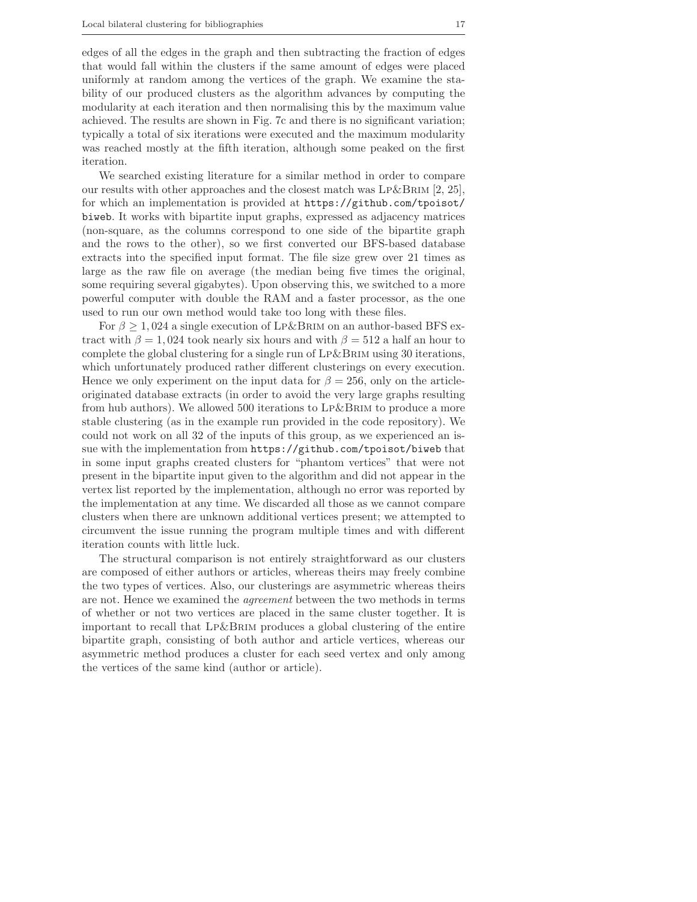edges of all the edges in the graph and then subtracting the fraction of edges that would fall within the clusters if the same amount of edges were placed uniformly at random among the vertices of the graph. We examine the stability of our produced clusters as the algorithm advances by computing the modularity at each iteration and then normalising this by the maximum value achieved. The results are shown in Fig. 7c and there is no significant variation; typically a total of six iterations were executed and the maximum modularity was reached mostly at the fifth iteration, although some peaked on the first iteration.

We searched existing literature for a similar method in order to compare our results with other approaches and the closest match was  $LP\&BRIM$  [2, 25], for which an implementation is provided at https://github.com/tpoisot/ biweb. It works with bipartite input graphs, expressed as adjacency matrices (non-square, as the columns correspond to one side of the bipartite graph and the rows to the other), so we first converted our BFS-based database extracts into the specified input format. The file size grew over 21 times as large as the raw file on average (the median being five times the original, some requiring several gigabytes). Upon observing this, we switched to a more powerful computer with double the RAM and a faster processor, as the one used to run our own method would take too long with these files.

For  $\beta \geq 1,024$  a single execution of LP&BRIM on an author-based BFS extract with  $\beta = 1,024$  took nearly six hours and with  $\beta = 512$  a half an hour to complete the global clustering for a single run of  $LP\&BRIM$  using 30 iterations, which unfortunately produced rather different clusterings on every execution. Hence we only experiment on the input data for  $\beta = 256$ , only on the articleoriginated database extracts (in order to avoid the very large graphs resulting from hub authors). We allowed 500 iterations to Lp&Brim to produce a more stable clustering (as in the example run provided in the code repository). We could not work on all 32 of the inputs of this group, as we experienced an issue with the implementation from https://github.com/tpoisot/biweb that in some input graphs created clusters for "phantom vertices" that were not present in the bipartite input given to the algorithm and did not appear in the vertex list reported by the implementation, although no error was reported by the implementation at any time. We discarded all those as we cannot compare clusters when there are unknown additional vertices present; we attempted to circumvent the issue running the program multiple times and with different iteration counts with little luck.

The structural comparison is not entirely straightforward as our clusters are composed of either authors or articles, whereas theirs may freely combine the two types of vertices. Also, our clusterings are asymmetric whereas theirs are not. Hence we examined the agreement between the two methods in terms of whether or not two vertices are placed in the same cluster together. It is important to recall that Lp&Brim produces a global clustering of the entire bipartite graph, consisting of both author and article vertices, whereas our asymmetric method produces a cluster for each seed vertex and only among the vertices of the same kind (author or article).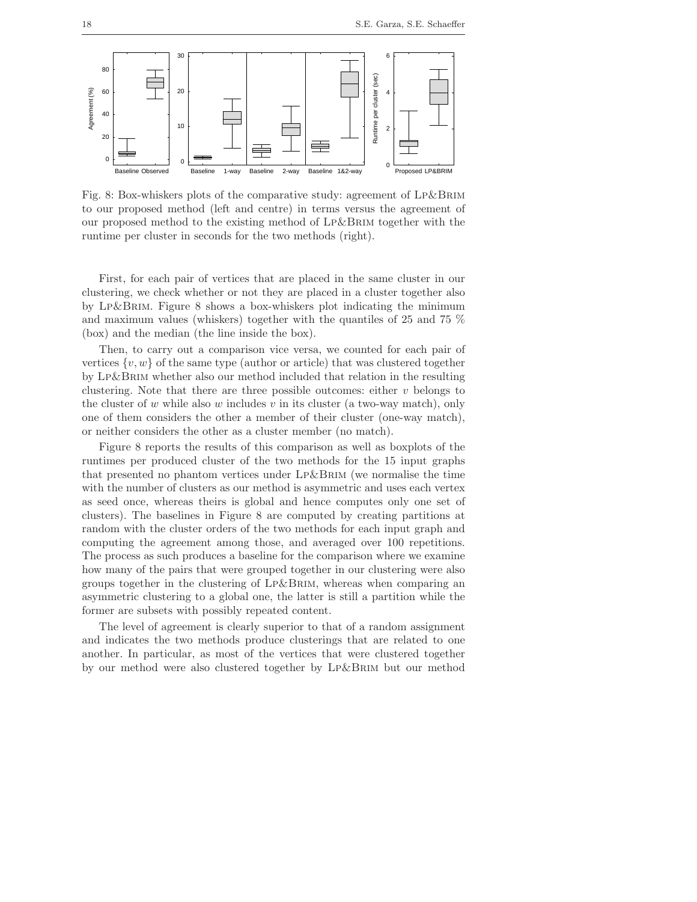

Fig. 8: Box-whiskers plots of the comparative study: agreement of Lp&Brim to our proposed method (left and centre) in terms versus the agreement of our proposed method to the existing method of Lp&Brim together with the runtime per cluster in seconds for the two methods (right).

First, for each pair of vertices that are placed in the same cluster in our clustering, we check whether or not they are placed in a cluster together also by Lp&Brim. Figure 8 shows a box-whiskers plot indicating the minimum and maximum values (whiskers) together with the quantiles of 25 and 75 % (box) and the median (the line inside the box).

Then, to carry out a comparison vice versa, we counted for each pair of vertices  $\{v, w\}$  of the same type (author or article) that was clustered together by Lp&Brim whether also our method included that relation in the resulting clustering. Note that there are three possible outcomes: either  $v$  belongs to the cluster of  $w$  while also  $w$  includes  $v$  in its cluster (a two-way match), only one of them considers the other a member of their cluster (one-way match), or neither considers the other as a cluster member (no match).

Figure 8 reports the results of this comparison as well as boxplots of the runtimes per produced cluster of the two methods for the 15 input graphs that presented no phantom vertices under Lp&Brim (we normalise the time with the number of clusters as our method is asymmetric and uses each vertex as seed once, whereas theirs is global and hence computes only one set of clusters). The baselines in Figure 8 are computed by creating partitions at random with the cluster orders of the two methods for each input graph and computing the agreement among those, and averaged over 100 repetitions. The process as such produces a baseline for the comparison where we examine how many of the pairs that were grouped together in our clustering were also groups together in the clustering of Lp&Brim, whereas when comparing an asymmetric clustering to a global one, the latter is still a partition while the former are subsets with possibly repeated content.

The level of agreement is clearly superior to that of a random assignment and indicates the two methods produce clusterings that are related to one another. In particular, as most of the vertices that were clustered together by our method were also clustered together by Lp&Brim but our method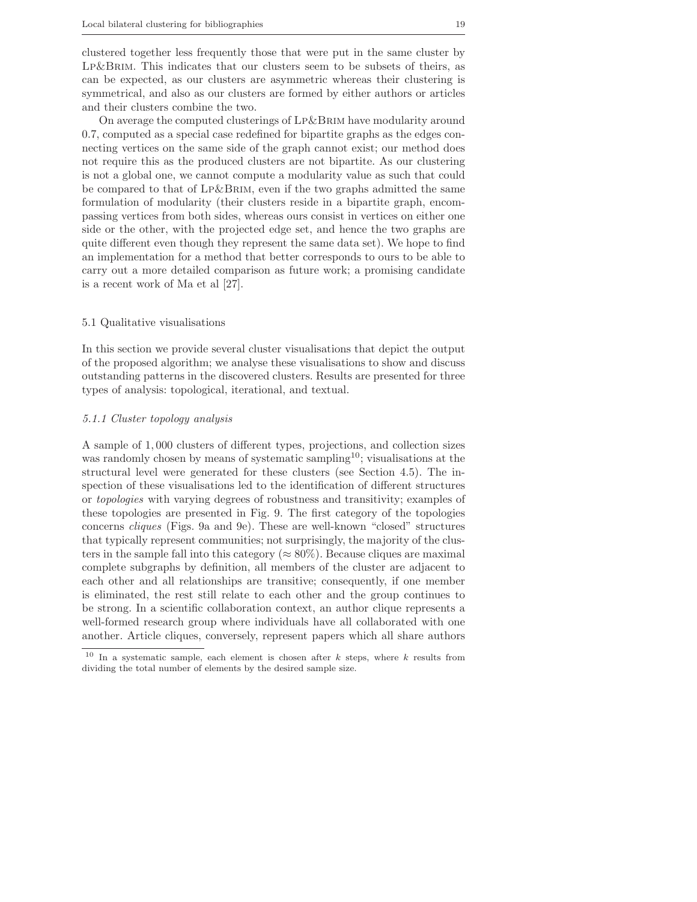clustered together less frequently those that were put in the same cluster by LP&BRIM. This indicates that our clusters seem to be subsets of theirs, as can be expected, as our clusters are asymmetric whereas their clustering is symmetrical, and also as our clusters are formed by either authors or articles and their clusters combine the two.

On average the computed clusterings of Lp&Brim have modularity around 0.7, computed as a special case redefined for bipartite graphs as the edges connecting vertices on the same side of the graph cannot exist; our method does not require this as the produced clusters are not bipartite. As our clustering is not a global one, we cannot compute a modularity value as such that could be compared to that of Lp&Brim, even if the two graphs admitted the same formulation of modularity (their clusters reside in a bipartite graph, encompassing vertices from both sides, whereas ours consist in vertices on either one side or the other, with the projected edge set, and hence the two graphs are quite different even though they represent the same data set). We hope to find an implementation for a method that better corresponds to ours to be able to carry out a more detailed comparison as future work; a promising candidate is a recent work of Ma et al [27].

## 5.1 Qualitative visualisations

In this section we provide several cluster visualisations that depict the output of the proposed algorithm; we analyse these visualisations to show and discuss outstanding patterns in the discovered clusters. Results are presented for three types of analysis: topological, iterational, and textual.

## 5.1.1 Cluster topology analysis

A sample of 1, 000 clusters of different types, projections, and collection sizes was randomly chosen by means of systematic sampling<sup>10</sup>; visualisations at the structural level were generated for these clusters (see Section 4.5). The inspection of these visualisations led to the identification of different structures or topologies with varying degrees of robustness and transitivity; examples of these topologies are presented in Fig. 9. The first category of the topologies concerns cliques (Figs. 9a and 9e). These are well-known "closed" structures that typically represent communities; not surprisingly, the majority of the clusters in the sample fall into this category ( $\approx 80\%$ ). Because cliques are maximal complete subgraphs by definition, all members of the cluster are adjacent to each other and all relationships are transitive; consequently, if one member is eliminated, the rest still relate to each other and the group continues to be strong. In a scientific collaboration context, an author clique represents a well-formed research group where individuals have all collaborated with one another. Article cliques, conversely, represent papers which all share authors

<sup>&</sup>lt;sup>10</sup> In a systematic sample, each element is chosen after  $k$  steps, where  $k$  results from dividing the total number of elements by the desired sample size.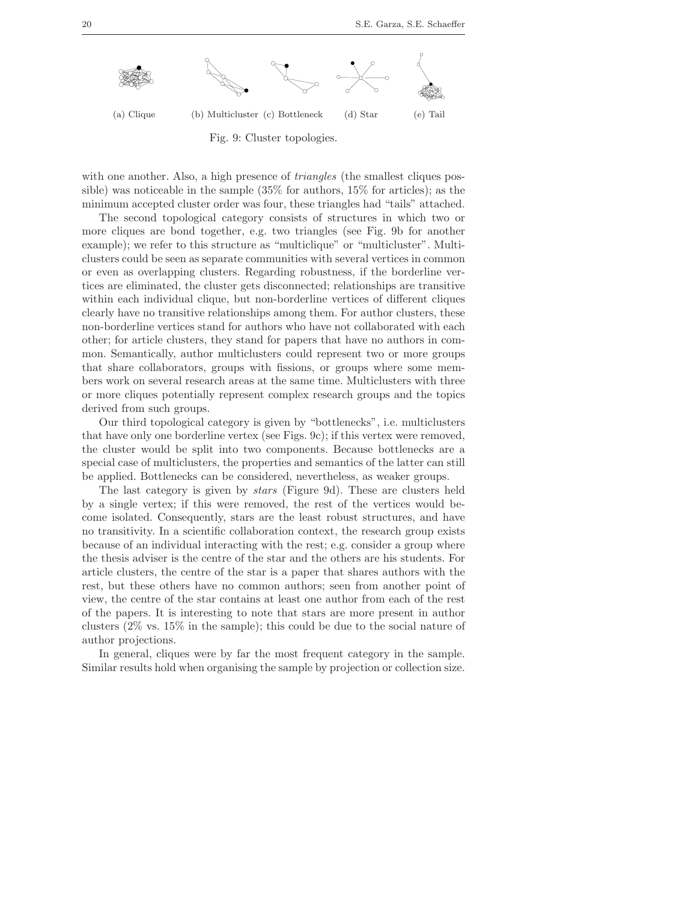

with one another. Also, a high presence of *triangles* (the smallest cliques possible) was noticeable in the sample (35% for authors, 15% for articles); as the minimum accepted cluster order was four, these triangles had "tails" attached.

The second topological category consists of structures in which two or more cliques are bond together, e.g. two triangles (see Fig. 9b for another example); we refer to this structure as "multiclique" or "multicluster". Multiclusters could be seen as separate communities with several vertices in common or even as overlapping clusters. Regarding robustness, if the borderline vertices are eliminated, the cluster gets disconnected; relationships are transitive within each individual clique, but non-borderline vertices of different cliques clearly have no transitive relationships among them. For author clusters, these non-borderline vertices stand for authors who have not collaborated with each other; for article clusters, they stand for papers that have no authors in common. Semantically, author multiclusters could represent two or more groups that share collaborators, groups with fissions, or groups where some members work on several research areas at the same time. Multiclusters with three or more cliques potentially represent complex research groups and the topics derived from such groups.

Our third topological category is given by "bottlenecks", i.e. multiclusters that have only one borderline vertex (see Figs. 9c); if this vertex were removed, the cluster would be split into two components. Because bottlenecks are a special case of multiclusters, the properties and semantics of the latter can still be applied. Bottlenecks can be considered, nevertheless, as weaker groups.

The last category is given by stars (Figure 9d). These are clusters held by a single vertex; if this were removed, the rest of the vertices would become isolated. Consequently, stars are the least robust structures, and have no transitivity. In a scientific collaboration context, the research group exists because of an individual interacting with the rest; e.g. consider a group where the thesis adviser is the centre of the star and the others are his students. For article clusters, the centre of the star is a paper that shares authors with the rest, but these others have no common authors; seen from another point of view, the centre of the star contains at least one author from each of the rest of the papers. It is interesting to note that stars are more present in author clusters (2% vs. 15% in the sample); this could be due to the social nature of author projections.

In general, cliques were by far the most frequent category in the sample. Similar results hold when organising the sample by projection or collection size.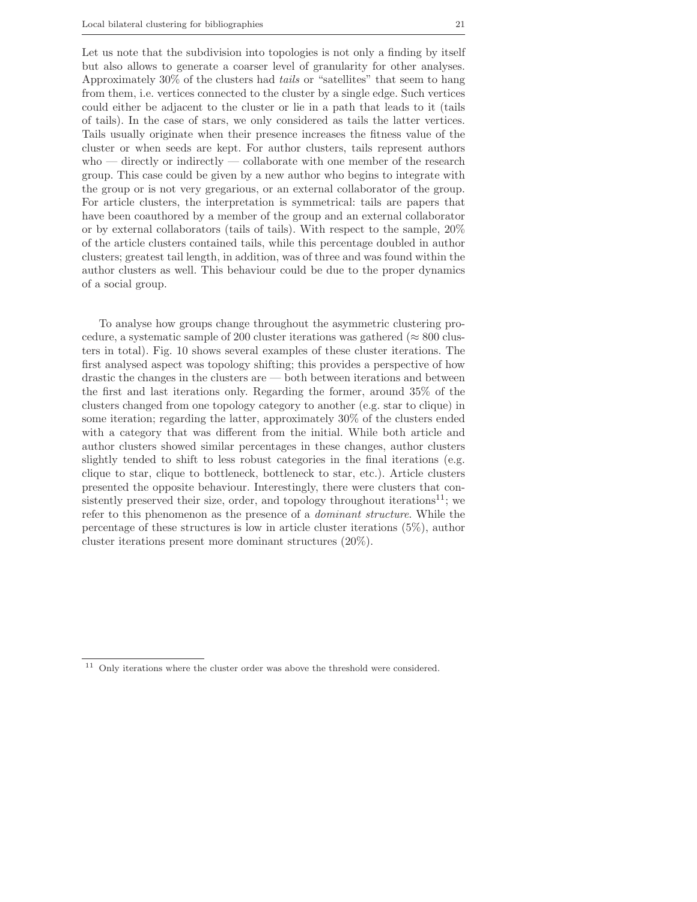Let us note that the subdivision into topologies is not only a finding by itself but also allows to generate a coarser level of granularity for other analyses. Approximately 30% of the clusters had tails or "satellites" that seem to hang from them, i.e. vertices connected to the cluster by a single edge. Such vertices could either be adjacent to the cluster or lie in a path that leads to it (tails of tails). In the case of stars, we only considered as tails the latter vertices. Tails usually originate when their presence increases the fitness value of the cluster or when seeds are kept. For author clusters, tails represent authors who — directly or indirectly — collaborate with one member of the research group. This case could be given by a new author who begins to integrate with the group or is not very gregarious, or an external collaborator of the group. For article clusters, the interpretation is symmetrical: tails are papers that have been coauthored by a member of the group and an external collaborator or by external collaborators (tails of tails). With respect to the sample, 20% of the article clusters contained tails, while this percentage doubled in author clusters; greatest tail length, in addition, was of three and was found within the author clusters as well. This behaviour could be due to the proper dynamics of a social group.

To analyse how groups change throughout the asymmetric clustering procedure, a systematic sample of 200 cluster iterations was gathered ( $\approx 800$  clusters in total). Fig. 10 shows several examples of these cluster iterations. The first analysed aspect was topology shifting; this provides a perspective of how drastic the changes in the clusters are — both between iterations and between the first and last iterations only. Regarding the former, around 35% of the clusters changed from one topology category to another (e.g. star to clique) in some iteration; regarding the latter, approximately 30% of the clusters ended with a category that was different from the initial. While both article and author clusters showed similar percentages in these changes, author clusters slightly tended to shift to less robust categories in the final iterations (e.g. clique to star, clique to bottleneck, bottleneck to star, etc.). Article clusters presented the opposite behaviour. Interestingly, there were clusters that consistently preserved their size, order, and topology throughout iterations<sup>11</sup>; we refer to this phenomenon as the presence of a dominant structure. While the percentage of these structures is low in article cluster iterations (5%), author cluster iterations present more dominant structures (20%).

 $11$  Only iterations where the cluster order was above the threshold were considered.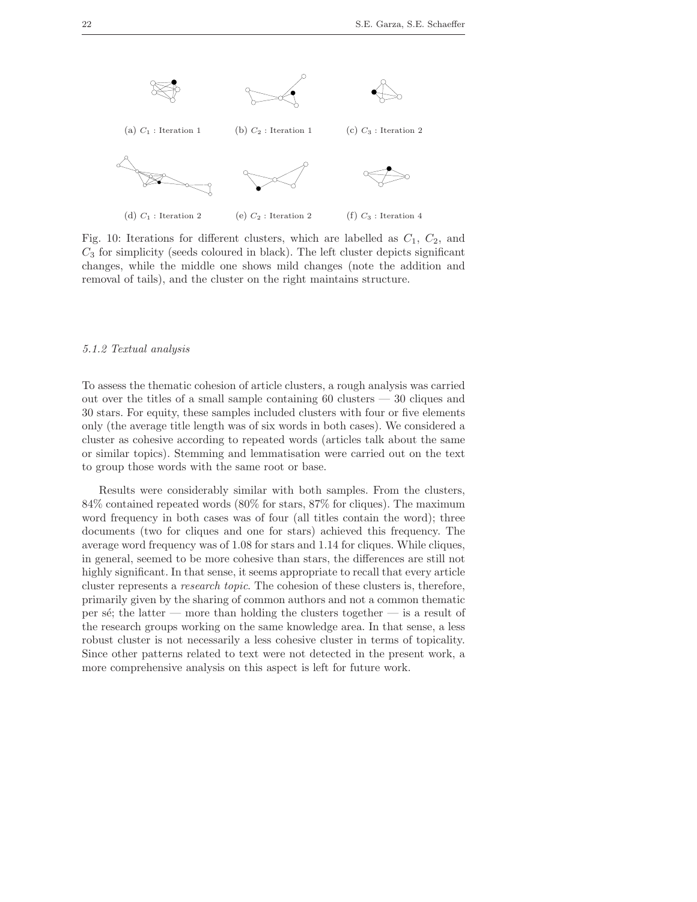

Fig. 10: Iterations for different clusters, which are labelled as  $C_1$ ,  $C_2$ , and  $C_3$  for simplicity (seeds coloured in black). The left cluster depicts significant changes, while the middle one shows mild changes (note the addition and removal of tails), and the cluster on the right maintains structure.

## 5.1.2 Textual analysis

To assess the thematic cohesion of article clusters, a rough analysis was carried out over the titles of a small sample containing 60 clusters — 30 cliques and 30 stars. For equity, these samples included clusters with four or five elements only (the average title length was of six words in both cases). We considered a cluster as cohesive according to repeated words (articles talk about the same or similar topics). Stemming and lemmatisation were carried out on the text to group those words with the same root or base.

Results were considerably similar with both samples. From the clusters, 84% contained repeated words (80% for stars, 87% for cliques). The maximum word frequency in both cases was of four (all titles contain the word); three documents (two for cliques and one for stars) achieved this frequency. The average word frequency was of 1.08 for stars and 1.14 for cliques. While cliques, in general, seemed to be more cohesive than stars, the differences are still not highly significant. In that sense, it seems appropriate to recall that every article cluster represents a research topic. The cohesion of these clusters is, therefore, primarily given by the sharing of common authors and not a common thematic per sé; the latter — more than holding the clusters together — is a result of the research groups working on the same knowledge area. In that sense, a less robust cluster is not necessarily a less cohesive cluster in terms of topicality. Since other patterns related to text were not detected in the present work, a more comprehensive analysis on this aspect is left for future work.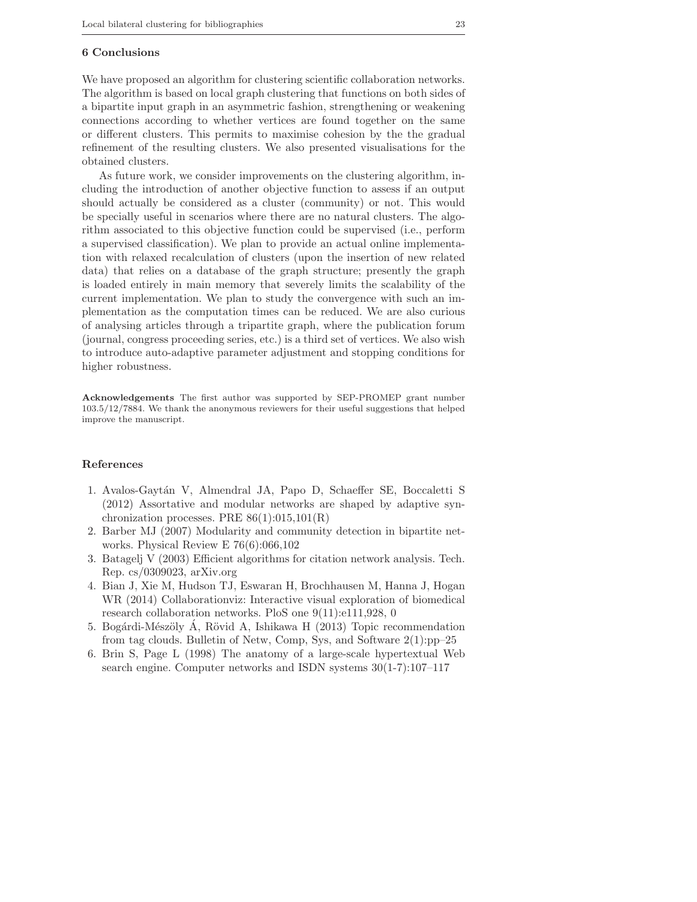#### 6 Conclusions

We have proposed an algorithm for clustering scientific collaboration networks. The algorithm is based on local graph clustering that functions on both sides of a bipartite input graph in an asymmetric fashion, strengthening or weakening connections according to whether vertices are found together on the same or different clusters. This permits to maximise cohesion by the the gradual refinement of the resulting clusters. We also presented visualisations for the obtained clusters.

As future work, we consider improvements on the clustering algorithm, including the introduction of another objective function to assess if an output should actually be considered as a cluster (community) or not. This would be specially useful in scenarios where there are no natural clusters. The algorithm associated to this objective function could be supervised (i.e., perform a supervised classification). We plan to provide an actual online implementation with relaxed recalculation of clusters (upon the insertion of new related data) that relies on a database of the graph structure; presently the graph is loaded entirely in main memory that severely limits the scalability of the current implementation. We plan to study the convergence with such an implementation as the computation times can be reduced. We are also curious of analysing articles through a tripartite graph, where the publication forum (journal, congress proceeding series, etc.) is a third set of vertices. We also wish to introduce auto-adaptive parameter adjustment and stopping conditions for higher robustness.

Acknowledgements The first author was supported by SEP-PROMEP grant number 103.5/12/7884. We thank the anonymous reviewers for their useful suggestions that helped improve the manuscript.

## References

- 1. Avalos-Gaytán V, Almendral JA, Papo D, Schaeffer SE, Boccaletti S (2012) Assortative and modular networks are shaped by adaptive synchronization processes. PRE  $86(1):015,101(R)$
- 2. Barber MJ (2007) Modularity and community detection in bipartite networks. Physical Review E 76(6):066,102
- 3. Batagelj V (2003) Efficient algorithms for citation network analysis. Tech. Rep. cs/0309023, arXiv.org
- 4. Bian J, Xie M, Hudson TJ, Eswaran H, Brochhausen M, Hanna J, Hogan WR (2014) Collaborationviz: Interactive visual exploration of biomedical research collaboration networks. PloS one 9(11):e111,928, 0
- 5. Bogárdi-Mészöly Á, Rövid A, Ishikawa H (2013) Topic recommendation from tag clouds. Bulletin of Netw, Comp, Sys, and Software 2(1):pp–25
- 6. Brin S, Page L (1998) The anatomy of a large-scale hypertextual Web search engine. Computer networks and ISDN systems 30(1-7):107–117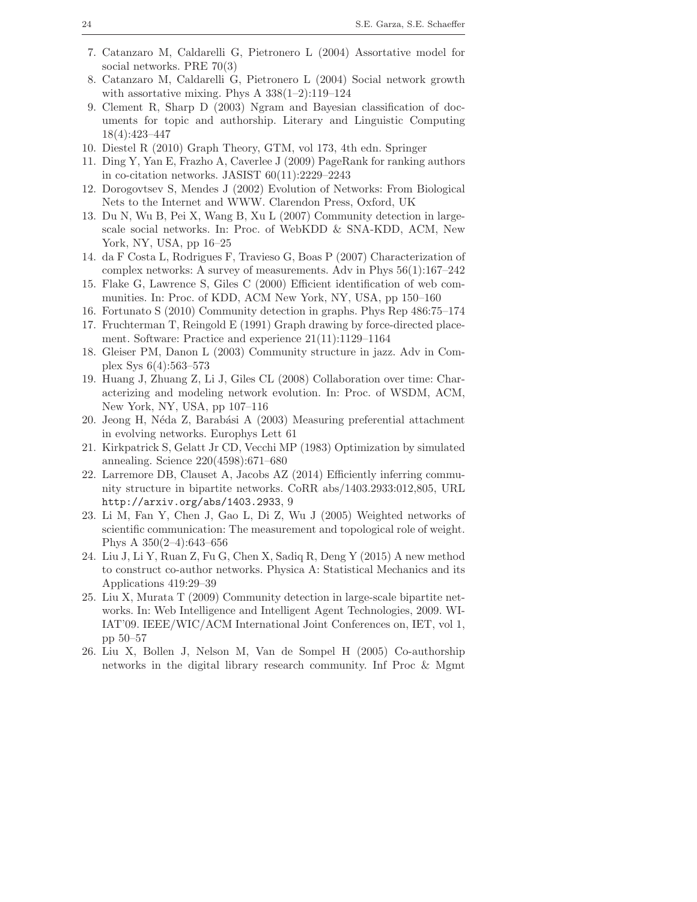- 7. Catanzaro M, Caldarelli G, Pietronero L (2004) Assortative model for social networks. PRE 70(3)
- 8. Catanzaro M, Caldarelli G, Pietronero L (2004) Social network growth with assortative mixing. Phys A  $338(1-2):119-124$
- 9. Clement R, Sharp D (2003) Ngram and Bayesian classification of documents for topic and authorship. Literary and Linguistic Computing 18(4):423–447
- 10. Diestel R (2010) Graph Theory, GTM, vol 173, 4th edn. Springer
- 11. Ding Y, Yan E, Frazho A, Caverlee J (2009) PageRank for ranking authors in co-citation networks. JASIST 60(11):2229–2243
- 12. Dorogovtsev S, Mendes J (2002) Evolution of Networks: From Biological Nets to the Internet and WWW. Clarendon Press, Oxford, UK
- 13. Du N, Wu B, Pei X, Wang B, Xu L (2007) Community detection in largescale social networks. In: Proc. of WebKDD & SNA-KDD, ACM, New York, NY, USA, pp 16–25
- 14. da F Costa L, Rodrigues F, Travieso G, Boas P (2007) Characterization of complex networks: A survey of measurements. Adv in Phys 56(1):167–242
- 15. Flake G, Lawrence S, Giles C (2000) Efficient identification of web communities. In: Proc. of KDD, ACM New York, NY, USA, pp 150–160
- 16. Fortunato S (2010) Community detection in graphs. Phys Rep 486:75–174
- 17. Fruchterman T, Reingold E (1991) Graph drawing by force-directed placement. Software: Practice and experience 21(11):1129–1164
- 18. Gleiser PM, Danon L (2003) Community structure in jazz. Adv in Complex Sys 6(4):563–573
- 19. Huang J, Zhuang Z, Li J, Giles CL (2008) Collaboration over time: Characterizing and modeling network evolution. In: Proc. of WSDM, ACM, New York, NY, USA, pp 107–116
- 20. Jeong H, Néda Z, Barabási A (2003) Measuring preferential attachment in evolving networks. Europhys Lett 61
- 21. Kirkpatrick S, Gelatt Jr CD, Vecchi MP (1983) Optimization by simulated annealing. Science 220(4598):671–680
- 22. Larremore DB, Clauset A, Jacobs AZ (2014) Efficiently inferring community structure in bipartite networks. CoRR abs/1403.2933:012,805, URL http://arxiv.org/abs/1403.2933, 9
- 23. Li M, Fan Y, Chen J, Gao L, Di Z, Wu J (2005) Weighted networks of scientific communication: The measurement and topological role of weight. Phys A 350(2–4):643–656
- 24. Liu J, Li Y, Ruan Z, Fu G, Chen X, Sadiq R, Deng Y (2015) A new method to construct co-author networks. Physica A: Statistical Mechanics and its Applications 419:29–39
- 25. Liu X, Murata T (2009) Community detection in large-scale bipartite networks. In: Web Intelligence and Intelligent Agent Technologies, 2009. WI-IAT'09. IEEE/WIC/ACM International Joint Conferences on, IET, vol 1, pp 50–57
- 26. Liu X, Bollen J, Nelson M, Van de Sompel H (2005) Co-authorship networks in the digital library research community. Inf Proc & Mgmt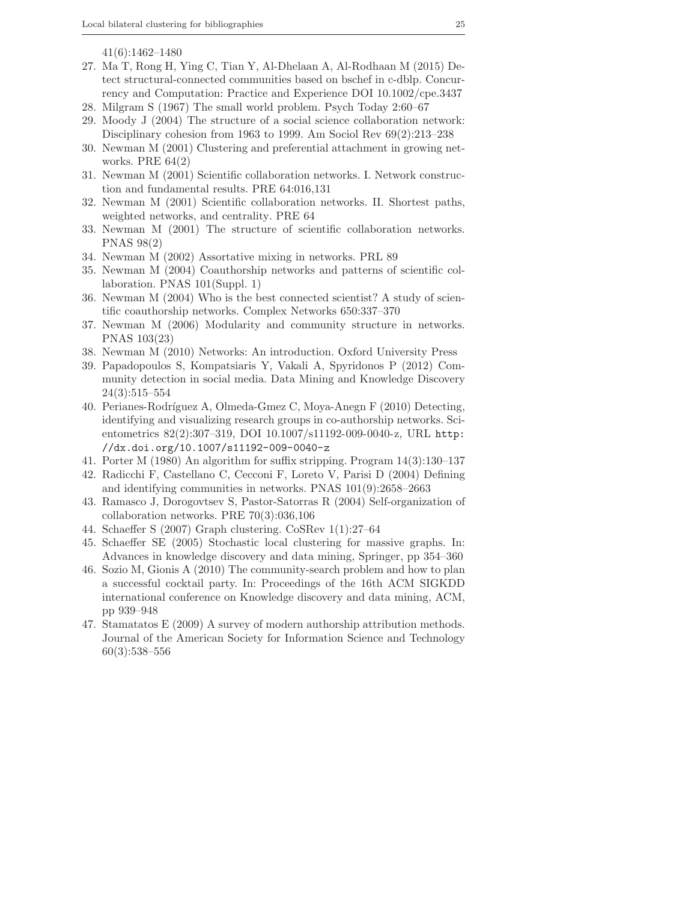41(6):1462–1480

- 27. Ma T, Rong H, Ying C, Tian Y, Al-Dhelaan A, Al-Rodhaan M (2015) Detect structural-connected communities based on bschef in c-dblp. Concurrency and Computation: Practice and Experience DOI 10.1002/cpe.3437
- 28. Milgram S (1967) The small world problem. Psych Today 2:60–67
- 29. Moody J (2004) The structure of a social science collaboration network: Disciplinary cohesion from 1963 to 1999. Am Sociol Rev 69(2):213–238
- 30. Newman M (2001) Clustering and preferential attachment in growing networks. PRE  $64(2)$
- 31. Newman M (2001) Scientific collaboration networks. I. Network construction and fundamental results. PRE 64:016,131
- 32. Newman M (2001) Scientific collaboration networks. II. Shortest paths, weighted networks, and centrality. PRE 64
- 33. Newman M (2001) The structure of scientific collaboration networks. PNAS 98(2)
- 34. Newman M (2002) Assortative mixing in networks. PRL 89
- 35. Newman M (2004) Coauthorship networks and patterns of scientific collaboration. PNAS 101(Suppl. 1)
- 36. Newman M (2004) Who is the best connected scientist? A study of scientific coauthorship networks. Complex Networks 650:337–370
- 37. Newman M (2006) Modularity and community structure in networks. PNAS 103(23)
- 38. Newman M (2010) Networks: An introduction. Oxford University Press
- 39. Papadopoulos S, Kompatsiaris Y, Vakali A, Spyridonos P (2012) Community detection in social media. Data Mining and Knowledge Discovery 24(3):515–554
- 40. Perianes-Rodríguez A, Olmeda-Gmez C, Moya-Anegn F (2010) Detecting, identifying and visualizing research groups in co-authorship networks. Scientometrics 82(2):307–319, DOI 10.1007/s11192-009-0040-z, URL http: //dx.doi.org/10.1007/s11192-009-0040-z
- 41. Porter M (1980) An algorithm for suffix stripping. Program 14(3):130–137
- 42. Radicchi F, Castellano C, Cecconi F, Loreto V, Parisi D (2004) Defining and identifying communities in networks. PNAS 101(9):2658–2663
- 43. Ramasco J, Dorogovtsev S, Pastor-Satorras R (2004) Self-organization of collaboration networks. PRE 70(3):036,106
- 44. Schaeffer S (2007) Graph clustering. CoSRev 1(1):27–64
- 45. Schaeffer SE (2005) Stochastic local clustering for massive graphs. In: Advances in knowledge discovery and data mining, Springer, pp 354–360
- 46. Sozio M, Gionis A (2010) The community-search problem and how to plan a successful cocktail party. In: Proceedings of the 16th ACM SIGKDD international conference on Knowledge discovery and data mining, ACM, pp 939–948
- 47. Stamatatos E (2009) A survey of modern authorship attribution methods. Journal of the American Society for Information Science and Technology 60(3):538–556